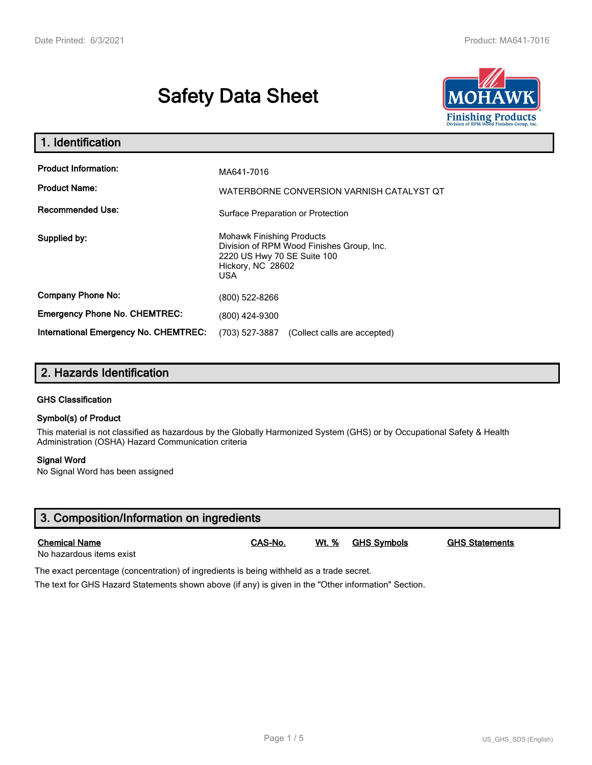# **Safety Data Sheet**



| 1. Identification                                   |                                                                                                                                           |  |  |
|-----------------------------------------------------|-------------------------------------------------------------------------------------------------------------------------------------------|--|--|
| <b>Product Information:</b><br><b>Product Name:</b> | MA641-7016<br>WATERBORNE CONVERSION VARNISH CATALYST QT                                                                                   |  |  |
| <b>Recommended Use:</b>                             | Surface Preparation or Protection                                                                                                         |  |  |
| Supplied by:                                        | <b>Mohawk Finishing Products</b><br>Division of RPM Wood Finishes Group, Inc.<br>2220 US Hwy 70 SE Suite 100<br>Hickory, NC 28602<br>USA. |  |  |
| <b>Company Phone No:</b>                            | (800) 522-8266                                                                                                                            |  |  |
| <b>Emergency Phone No. CHEMTREC:</b>                | (800) 424-9300                                                                                                                            |  |  |
| International Emergency No. CHEMTREC:               | (703) 527-3887<br>(Collect calls are accepted)                                                                                            |  |  |

## **2. Hazards Identification**

#### **GHS Classification**

#### **Symbol(s) of Product**

This material is not classified as hazardous by the Globally Harmonized System (GHS) or by Occupational Safety & Health Administration (OSHA) Hazard Communication criteria

#### **Signal Word**

No Signal Word has been assigned

| 3. Composition/Information on ingredients        |         |              |                    |                       |  |  |
|--------------------------------------------------|---------|--------------|--------------------|-----------------------|--|--|
| <b>Chemical Name</b><br>No hazardous items exist | CAS-No. | <u>Wt. %</u> | <b>GHS Svmbols</b> | <b>GHS Statements</b> |  |  |

The exact percentage (concentration) of ingredients is being withheld as a trade secret.

The text for GHS Hazard Statements shown above (if any) is given in the "Other information" Section.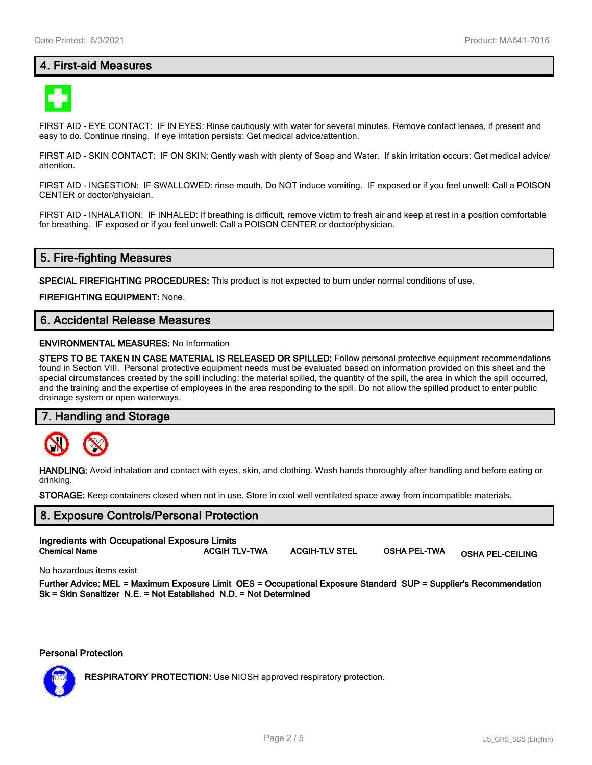## **4. First-aid Measures**



FIRST AID - EYE CONTACT: IF IN EYES: Rinse cautiously with water for several minutes. Remove contact lenses, if present and easy to do. Continue rinsing. If eye irritation persists: Get medical advice/attention.

FIRST AID - SKIN CONTACT: IF ON SKIN: Gently wash with plenty of Soap and Water. If skin irritation occurs: Get medical advice/ attention.

FIRST AID - INGESTION: IF SWALLOWED: rinse mouth. Do NOT induce vomiting. IF exposed or if you feel unwell: Call a POISON CENTER or doctor/physician.

FIRST AID - INHALATION: IF INHALED: If breathing is difficult, remove victim to fresh air and keep at rest in a position comfortable for breathing. IF exposed or if you feel unwell: Call a POISON CENTER or doctor/physician.

## **5. Fire-fighting Measures**

**SPECIAL FIREFIGHTING PROCEDURES:** This product is not expected to burn under normal conditions of use.

**FIREFIGHTING EQUIPMENT:** None.

## **6. Accidental Release Measures**

#### **ENVIRONMENTAL MEASURES:** No Information

**STEPS TO BE TAKEN IN CASE MATERIAL IS RELEASED OR SPILLED:** Follow personal protective equipment recommendations found in Section VIII. Personal protective equipment needs must be evaluated based on information provided on this sheet and the special circumstances created by the spill including; the material spilled, the quantity of the spill, the area in which the spill occurred, and the training and the expertise of employees in the area responding to the spill. Do not allow the spilled product to enter public drainage system or open waterways.

#### **7. Handling and Storage**



**HANDLING:** Avoid inhalation and contact with eyes, skin, and clothing. Wash hands thoroughly after handling and before eating or drinking.

**STORAGE:** Keep containers closed when not in use. Store in cool well ventilated space away from incompatible materials.

## **8. Exposure Controls/Personal Protection Ingredients with Occupational Exposure Limits**

| $$ g, cuiente $$ : cercepunente anpecune en m |                      |                       |              |                         |
|-----------------------------------------------|----------------------|-----------------------|--------------|-------------------------|
| <b>Chemical Name</b>                          | <b>ACGIH TLV-TWA</b> | <b>ACGIH-TLV STEL</b> | OSHA PEL-TWA | <b>OSHA PEL-CEILING</b> |
|                                               |                      |                       |              |                         |

No hazardous items exist

**Further Advice: MEL = Maximum Exposure Limit OES = Occupational Exposure Standard SUP = Supplier's Recommendation Sk = Skin Sensitizer N.E. = Not Established N.D. = Not Determined**

#### **Personal Protection**



**RESPIRATORY PROTECTION:** Use NIOSH approved respiratory protection.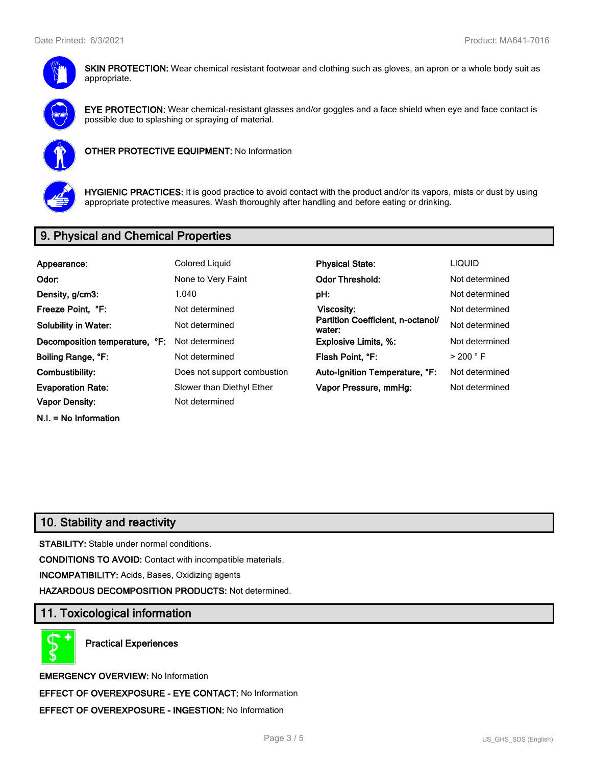

**SKIN PROTECTION:** Wear chemical resistant footwear and clothing such as gloves, an apron or a whole body suit as appropriate.



**EYE PROTECTION:** Wear chemical-resistant glasses and/or goggles and a face shield when eye and face contact is possible due to splashing or spraying of material.



**OTHER PROTECTIVE EQUIPMENT:** No Information



**HYGIENIC PRACTICES:** It is good practice to avoid contact with the product and/or its vapors, mists or dust by using appropriate protective measures. Wash thoroughly after handling and before eating or drinking.

## **9. Physical and Chemical Properties**

| Appearance:                    | <b>Colored Liquid</b>       | <b>Physical State:</b>                      | <b>LIQUID</b>        |
|--------------------------------|-----------------------------|---------------------------------------------|----------------------|
| Odor:                          | None to Very Faint          | <b>Odor Threshold:</b>                      | Not determined       |
| Density, g/cm3:                | 1.040                       | pH:                                         | Not determined       |
| Freeze Point, °F:              | Not determined              | Viscosity:                                  | Not determined       |
| <b>Solubility in Water:</b>    | Not determined              | Partition Coefficient, n-octanol/<br>water: | Not determined       |
| Decomposition temperature, °F: | Not determined              | <b>Explosive Limits, %:</b>                 | Not determined       |
| Boiling Range, °F:             | Not determined              | Flash Point, °F:                            | $>$ 200 $^{\circ}$ F |
| Combustibility:                | Does not support combustion | Auto-Ignition Temperature, °F:              | Not determined       |
| <b>Evaporation Rate:</b>       | Slower than Diethyl Ether   | Vapor Pressure, mmHg:                       | Not determined       |
| Vapor Density:                 | Not determined              |                                             |                      |
| $N.I. = No$ Information        |                             |                                             |                      |

## **10. Stability and reactivity**

**STABILITY:** Stable under normal conditions.

**CONDITIONS TO AVOID:** Contact with incompatible materials.

**INCOMPATIBILITY:** Acids, Bases, Oxidizing agents

**HAZARDOUS DECOMPOSITION PRODUCTS:** Not determined.

## **11. Toxicological information**

**Practical Experiences**

**EMERGENCY OVERVIEW:** No Information **EFFECT OF OVEREXPOSURE - EYE CONTACT:** No Information **EFFECT OF OVEREXPOSURE - INGESTION:** No Information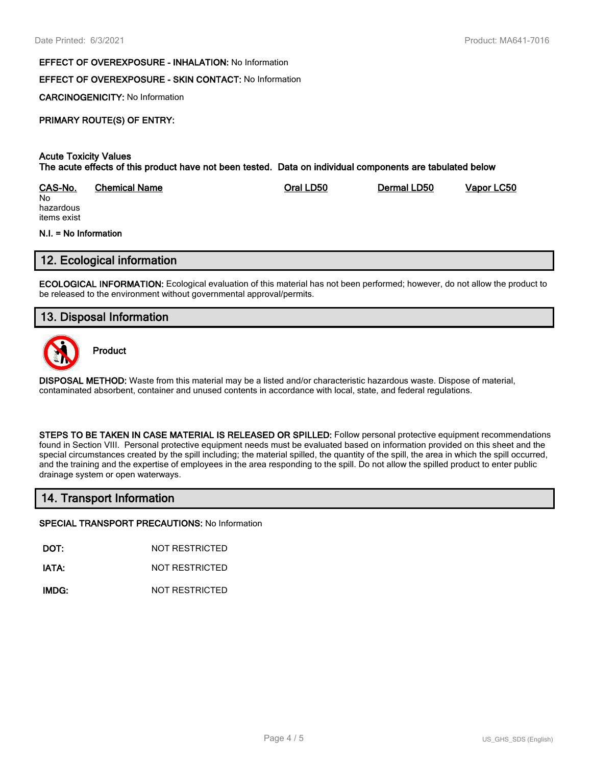#### **EFFECT OF OVEREXPOSURE - INHALATION:** No Information

## **EFFECT OF OVEREXPOSURE - SKIN CONTACT:** No Information

**CARCINOGENICITY:** No Information

## **PRIMARY ROUTE(S) OF ENTRY:**

#### **Acute Toxicity Values The acute effects of this product have not been tested. Data on individual components are tabulated below**

| CAS-No.   | <b>Chemical Name</b> | Oral LD50 | Dermal LD50 | Vapor LC50 |
|-----------|----------------------|-----------|-------------|------------|
| No        |                      |           |             |            |
| hazardous |                      |           |             |            |

hazardous items exist

#### **N.I. = No Information**

## **12. Ecological information**

**ECOLOGICAL INFORMATION:** Ecological evaluation of this material has not been performed; however, do not allow the product to be released to the environment without governmental approval/permits.

## **13. Disposal Information**



**Product**

**DISPOSAL METHOD:** Waste from this material may be a listed and/or characteristic hazardous waste. Dispose of material, contaminated absorbent, container and unused contents in accordance with local, state, and federal regulations.

**STEPS TO BE TAKEN IN CASE MATERIAL IS RELEASED OR SPILLED:** Follow personal protective equipment recommendations found in Section VIII. Personal protective equipment needs must be evaluated based on information provided on this sheet and the special circumstances created by the spill including; the material spilled, the quantity of the spill, the area in which the spill occurred, and the training and the expertise of employees in the area responding to the spill. Do not allow the spilled product to enter public drainage system or open waterways.

## **14. Transport Information**

#### **SPECIAL TRANSPORT PRECAUTIONS:** No Information

**DOT:** NOT RESTRICTED

**IATA:** NOT RESTRICTED

**IMDG:** NOT RESTRICTED